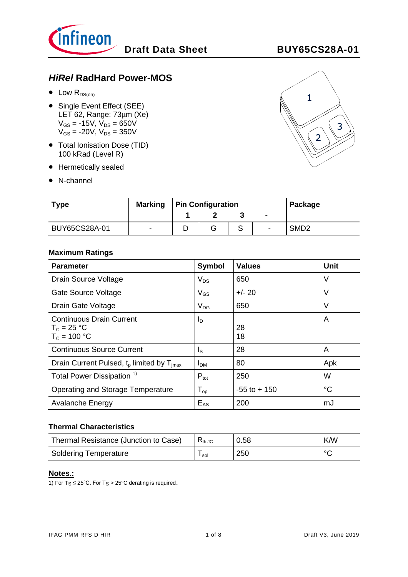

# *HiRel* **RadHard Power-MOS**

- $\bullet$  Low  $R_{DS(on)}$
- Single Event Effect (SEE) LET 62, Range: 73µm (Xe)  $V_{GS} = -15V$ ,  $V_{DS} = 650V$  $V_{GS} = -20V$ ,  $V_{DS} = 350V$
- Total Ionisation Dose (TID) 100 kRad (Level R)
- Hermetically sealed
- N-channel



| <b>Type</b>   | <b>Marking</b>           | <b>Pin Configuration</b> |  |  |                | Package          |
|---------------|--------------------------|--------------------------|--|--|----------------|------------------|
|               |                          |                          |  |  | $\blacksquare$ |                  |
| BUY65CS28A-01 | $\overline{\phantom{a}}$ |                          |  |  | -              | SMD <sub>2</sub> |

#### **Maximum Ratings**

| <b>Parameter</b>                                                   | Symbol           | <b>Values</b>   | Unit        |
|--------------------------------------------------------------------|------------------|-----------------|-------------|
| Drain Source Voltage                                               | $V_{DS}$         | 650             | V           |
| Gate Source Voltage                                                | $V_{GS}$         | $+/- 20$        | V           |
| Drain Gate Voltage                                                 | $V_{DG}$         | 650             | V           |
| <b>Continuous Drain Current</b><br>$T_c = 25 °C$<br>$T_c = 100 °C$ | $I_{\text{D}}$   | 28<br>18        | A           |
| <b>Continuous Source Current</b>                                   | $I_{\rm S}$      | 28              | A           |
| Drain Current Pulsed, $tp$ limited by $Timax$                      | I <sub>DM</sub>  | 80              | Apk         |
| Total Power Dissipation <sup>1)</sup>                              | $P_{\text{tot}}$ | 250             | W           |
| Operating and Storage Temperature                                  | $T_{op}$         | $-55$ to $+150$ | $^{\circ}C$ |
| Avalanche Energy                                                   | $E_{AS}$         | 200             | mJ          |

#### **Thermal Characteristics**

| Thermal Resistance (Junction to Case) | $R_{th, JC}$ | 0.58 | <b>K/W</b> |
|---------------------------------------|--------------|------|------------|
| <b>Soldering Temperature</b>          | sol          | 250  | $\circ$    |

#### **Notes.:**

1) For  $T_S \le 25^{\circ}$ C. For  $T_S > 25^{\circ}$ C derating is required.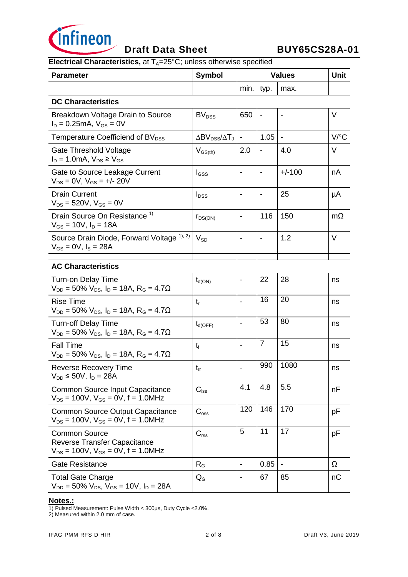

# **Draft Data Sheet BUY65CS28A-01**

**Electrical Characteristics, at T<sub>A</sub>=25°C; unless otherwise specified** 

| <b>Parameter</b>                                                                                          | <b>Symbol</b>                                        | <b>Values</b>                |                          |                          | <b>Unit</b>          |
|-----------------------------------------------------------------------------------------------------------|------------------------------------------------------|------------------------------|--------------------------|--------------------------|----------------------|
|                                                                                                           |                                                      | min. typ.                    |                          | max.                     |                      |
| <b>DC Characteristics</b>                                                                                 |                                                      |                              |                          |                          |                      |
| Breakdown Voltage Drain to Source<br>$I_D = 0.25 \text{mA}, V_{GS} = 0V$                                  | BV <sub>DSS</sub>                                    | 650                          | $\overline{\phantom{a}}$ |                          | V                    |
| Temperature Coefficiend of BV <sub>DSS</sub>                                                              | $\Delta$ BV <sub>DSS</sub> / $\Delta$ T <sub>J</sub> | $\overline{\phantom{a}}$     | 1.05                     | $\overline{\phantom{a}}$ | $V$ <sup>o</sup> $C$ |
| Gate Threshold Voltage<br>$I_D = 1.0 \text{mA}, V_{DS} \geq V_{GS}$                                       | $V_{GS(th)}$                                         | 2.0                          | $\blacksquare$           | 4.0                      | V                    |
| Gate to Source Leakage Current<br>$V_{DS} = 0V$ , $V_{GS} = +/- 20V$                                      | I <sub>GSS</sub>                                     |                              | $\overline{\phantom{a}}$ | $+/-100$                 | nA                   |
| <b>Drain Current</b><br>$V_{DS} = 520V, V_{GS} = 0V$                                                      | $I_{DSS}$                                            | $\qquad \qquad \blacksquare$ | $\overline{\phantom{a}}$ | 25                       | μA                   |
| Drain Source On Resistance <sup>1)</sup><br>$V_{GS}$ = 10V, $I_D$ = 18A                                   | $r_{DS(ON)}$                                         | $\qquad \qquad \blacksquare$ | 116                      | 150                      | $m\Omega$            |
| Source Drain Diode, Forward Voltage 1), 2)<br>$V_{GS} = 0V$ , $I_S = 28A$                                 | $V_{SD}$                                             |                              | $\overline{\phantom{a}}$ | 1.2                      | V                    |
| <b>AC Characteristics</b>                                                                                 |                                                      |                              |                          |                          |                      |
| <b>Turn-on Delay Time</b><br>$V_{DD}$ = 50% $V_{DS}$ , $I_D$ = 18A, R <sub>G</sub> = 4.7 $\Omega$         | $t_{d(ON)}$                                          |                              | 22                       | 28                       | ns                   |
| <b>Rise Time</b><br>$V_{DD} = 50\% V_{DS}$ , $I_D = 18A$ , $R_G = 4.7\Omega$                              | $t_{r}$                                              | $\overline{\phantom{a}}$     | 16                       | 20                       | ns                   |
| <b>Turn-off Delay Time</b><br>$V_{DD} = 50\% V_{DS}$ , $I_D = 18A$ , $R_G = 4.7\Omega$                    | $t_{d(OFF)}$                                         |                              | 53                       | 80                       | ns                   |
| <b>Fall Time</b><br>$V_{DD}$ = 50% $V_{DS}$ , $I_D$ = 18A, R <sub>G</sub> = 4.7 $\Omega$                  | $t_{\rm f}$                                          |                              | $\overline{7}$           | 15                       | ns                   |
| <b>Reverse Recovery Time</b><br>$V_{DD} \le 50V$ , $I_D = 28A$                                            | $t_{rr}$                                             |                              | 990                      | 1080                     | ns                   |
| <b>Common Source Input Capacitance</b><br>$V_{DS}$ = 100V, $V_{GS}$ = 0V, f = 1.0MHz                      | $C_{iss}$                                            | 4.1                          | 4.8                      | 5.5                      | nF                   |
| <b>Common Source Output Capacitance</b><br>$V_{DS}$ = 100V, $V_{GS}$ = 0V, f = 1.0MHz                     | $C_{\rm oss}$                                        | 120                          | 146                      | 170                      | рF                   |
| <b>Common Source</b><br><b>Reverse Transfer Capacitance</b><br>$V_{DS}$ = 100V, $V_{GS}$ = 0V, f = 1.0MHz | $C_{\text{rss}}$                                     | 5                            | 11                       | 17                       | рF                   |
| <b>Gate Resistance</b>                                                                                    | $R_G$                                                |                              | 0.85                     |                          | Ω                    |
| <b>Total Gate Charge</b><br>$V_{DD} = 50\% V_{DS}$ , $V_{GS} = 10V$ , $I_D = 28A$                         | $\mathsf{Q}_{\mathsf{G}}$                            |                              | 67                       | 85                       | nC                   |

#### **Notes.:**

1) Pulsed Measurement: Pulse Width < 300µs, Duty Cycle <2.0%.

2) Measured within 2.0 mm of case.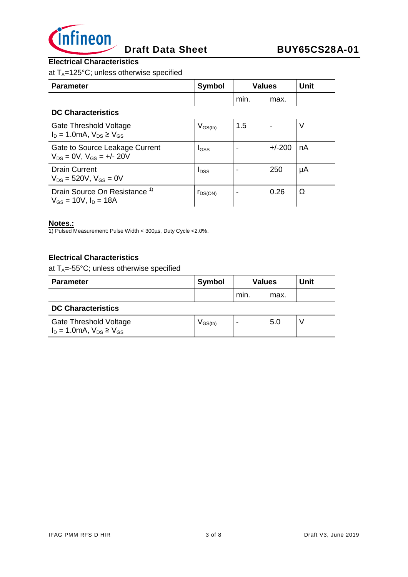

## **Electrical Characteristics**

at  $T_A$ =125°C; unless otherwise specified

| <b>Parameter</b>                                                        | <b>Symbol</b> | <b>Values</b> |          | <b>Unit</b> |
|-------------------------------------------------------------------------|---------------|---------------|----------|-------------|
|                                                                         |               | min.          | max.     |             |
| <b>DC Characteristics</b>                                               |               |               |          |             |
| Gate Threshold Voltage<br>$I_D = 1.0 \text{mA}, V_{DS} \geq V_{GS}$     | $V_{GS(th)}$  | 1.5           |          | V           |
| Gate to Source Leakage Current<br>$V_{DS} = 0V$ , $V_{GS} = +/- 20V$    | $I_{GSS}$     |               | $+/-200$ | nA          |
| <b>Drain Current</b><br>$V_{DS}$ = 520V, $V_{GS}$ = 0V                  | $I_{DSS}$     |               | 250      | μA          |
| Drain Source On Resistance <sup>1)</sup><br>$V_{GS}$ = 10V, $I_D$ = 18A | $r_{DS(ON)}$  |               | 0.26     | Ω           |

#### **Notes.:**

1) Pulsed Measurement: Pulse Width < 300µs, Duty Cycle <2.0%.

#### **Electrical Characteristics**

at  $T_A = -55^{\circ}C$ ; unless otherwise specified

| <b>Parameter</b>          | <b>Symbol</b> | <b>Values</b> |      | <b>Unit</b> |
|---------------------------|---------------|---------------|------|-------------|
|                           |               | min.          | max. |             |
| <b>DO Okazantezintina</b> |               |               |      |             |

#### **DC Characteristics**

| Gate Threshold Voltage                       | $V$ GS(th) | .5U |  |
|----------------------------------------------|------------|-----|--|
| $I_D = 1.0 \text{mA}$ , $V_{DS} \geq V_{GS}$ |            |     |  |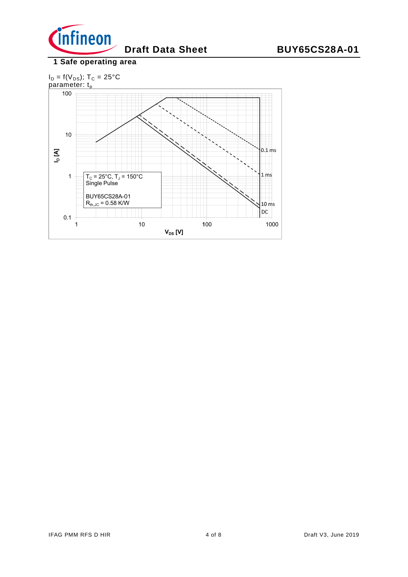

## **1 Safe operating area**

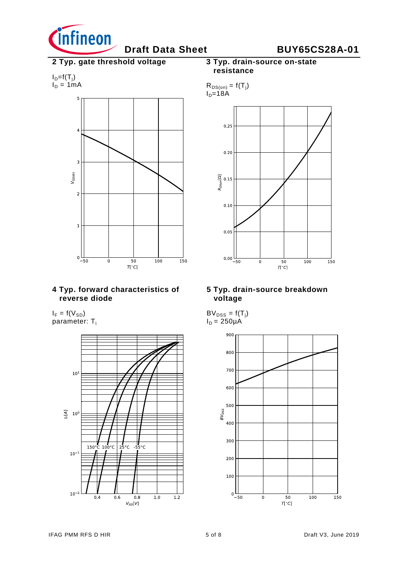

# **Draft Data Sheet BUY65CS28A-01**

**2 Typ. gate threshold voltage**

$$
I_D = f(T_j)
$$
  

$$
I_D = 1mA
$$



#### **4 Typ. forward characteristics of reverse diode**

 $I_F = f(V_{SD})$ parameter: T<sub>i</sub>



### **3 Typ. drain-source on-state resistance**



#### **5 Typ. drain-source breakdown voltage**

 $BV_{DSS} = f(T_j)$  $I_D = 250\mu A$ 

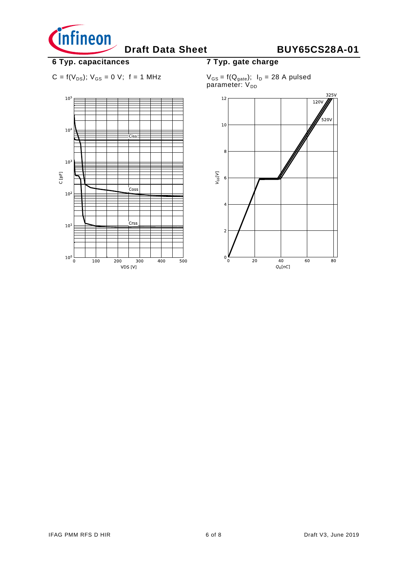

# **6 Typ. capacitances**

$$
C = f(V_{DS})
$$
;  $V_{GS} = 0$  V; f = 1 MHz



## **7 Typ. gate charge**